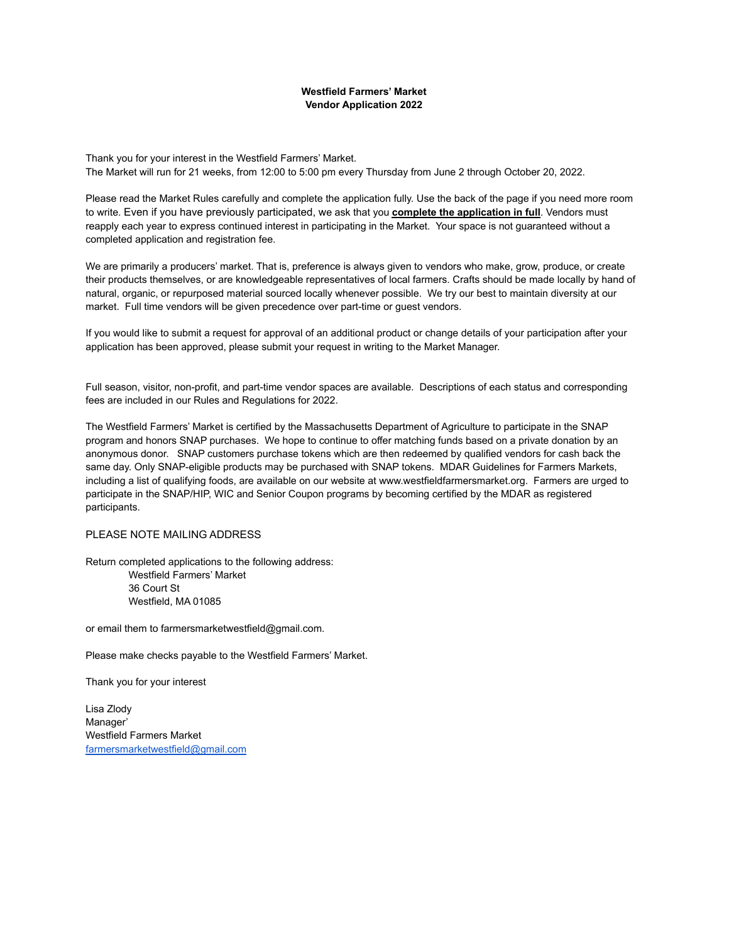## **Westfield Farmers' Market Vendor Application 2022**

Thank you for your interest in the Westfield Farmers' Market. The Market will run for 21 weeks, from 12:00 to 5:00 pm every Thursday from June 2 through October 20, 2022.

Please read the Market Rules carefully and complete the application fully. Use the back of the page if you need more room to write. Even if you have previously participated, we ask that you **complete the application in full**. Vendors must reapply each year to express continued interest in participating in the Market. Your space is not guaranteed without a completed application and registration fee.

We are primarily a producers' market. That is, preference is always given to vendors who make, grow, produce, or create their products themselves, or are knowledgeable representatives of local farmers. Crafts should be made locally by hand of natural, organic, or repurposed material sourced locally whenever possible. We try our best to maintain diversity at our market. Full time vendors will be given precedence over part-time or guest vendors.

If you would like to submit a request for approval of an additional product or change details of your participation after your application has been approved, please submit your request in writing to the Market Manager.

Full season, visitor, non-profit, and part-time vendor spaces are available. Descriptions of each status and corresponding fees are included in our Rules and Regulations for 2022.

The Westfield Farmers' Market is certified by the Massachusetts Department of Agriculture to participate in the SNAP program and honors SNAP purchases. We hope to continue to offer matching funds based on a private donation by an anonymous donor. SNAP customers purchase tokens which are then redeemed by qualified vendors for cash back the same day. Only SNAP-eligible products may be purchased with SNAP tokens. MDAR Guidelines for Farmers Markets, including a list of qualifying foods, are available on our website at www.westfieldfarmersmarket.org. Farmers are urged to participate in the SNAP/HIP, WIC and Senior Coupon programs by becoming certified by the MDAR as registered participants.

## PLEASE NOTE MAILING ADDRESS

Return completed applications to the following address: Westfield Farmers' Market 36 Court St Westfield, MA 01085

or email them to farmersmarketwestfield@gmail.com.

Please make checks payable to the Westfield Farmers' Market.

Thank you for your interest

Lisa Zlody Manager' Westfield Farmers Market [farmersmarketwestfield@gmail.com](mailto:farmersmarketwestfield@gmail.com)